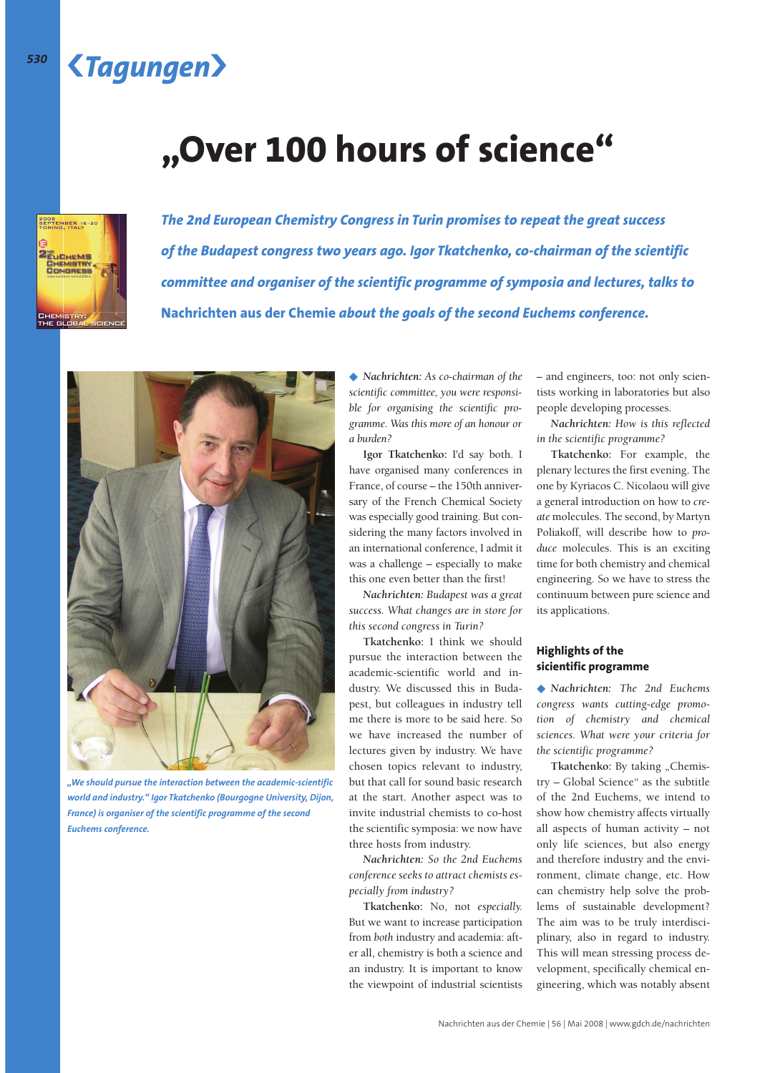## ❮*Tagungen*❯

# **"Over 100 hours of science"**



*530*

*The 2nd European Chemistry Congress in Turin promises to repeat the great success of the Budapest congress two years ago. Igor Tkatchenko, co-chairman of the scientific committee and organiser of the scientific programme of symposia and lectures, talks to*  **Nachrichten aus der Chemie** *about the goals of the second Euchems conference.* 



*"We should pursue the interaction between the academic-scientific world and industry." Igor Tkatchenko (Bourgogne University, Dijon, France) is organiser of the scientific programme of the second Euchems conference.* 

◆ *Nachrichten: As co-chairman of the scientific committee, you were responsible for organising the scientific programme. Was this more of an honour or a burden?* 

**Igor Tkatchenko:** I'd say both. I have organised many conferences in France, of course – the 150th anniversary of the French Chemical Society was especially good training. But considering the many factors involved in an international conference, I admit it was a challenge – especially to make this one even better than the first!

*Nachrichten: Budapest was a great success. What changes are in store for this second congress in Turin?* 

**Tkatchenko:** I think we should pursue the interaction between the academic-scientific world and industry. We discussed this in Budapest, but colleagues in industry tell me there is more to be said here. So we have increased the number of lectures given by industry. We have chosen topics relevant to industry, but that call for sound basic research at the start. Another aspect was to invite industrial chemists to co-host the scientific symposia: we now have three hosts from industry.

*Nachrichten: So the 2nd Euchems conference seeks to attract chemists especially from industry?*

**Tkatchenko:** No, not *especially.*  But we want to increase participation from *both* industry and academia: after all, chemistry is both a science and an industry. It is important to know the viewpoint of industrial scientists

– and engineers, too: not only scientists working in laboratories but also people developing processes.

*Nachrichten: How is this reflected in the scientific programme?*

**Tkatchenko:** For example, the plenary lectures the first evening. The one by Kyriacos C. Nicolaou will give a general introduction on how to *create* molecules. The second, by Martyn Poliakoff, will describe how to *produce* molecules. This is an exciting time for both chemistry and chemical engineering. So we have to stress the continuum between pure science and its applications.

### **Highlights of the sicientific programme**

◆ *Nachrichten: The 2nd Euchems congress wants cutting-edge promotion of chemistry and chemical sciences. What were your criteria for the scientific programme?* 

Tkatchenko: By taking "Chemistry – Global Science" as the subtitle of the 2nd Euchems, we intend to show how chemistry affects virtually all aspects of human activity – not only life sciences, but also energy and therefore industry and the environment, climate change, etc. How can chemistry help solve the problems of sustainable development? The aim was to be truly interdisciplinary, also in regard to industry. This will mean stressing process development, specifically chemical engineering, which was notably absent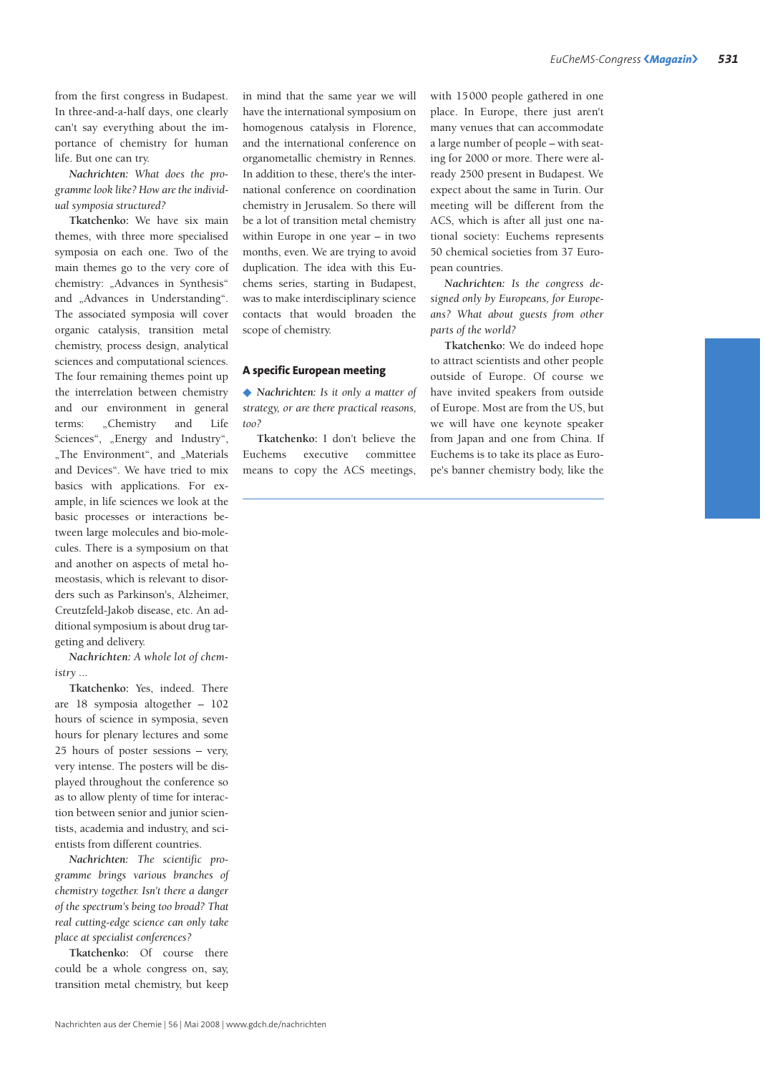from the first congress in Budapest. In three-and-a-half days, one clearly can't say everything about the importance of chemistry for human life. But one can try.

*Nachrichten: What does the programme look like? How are the individual symposia structured?*

**Tkatchenko:** We have six main themes, with three more specialised symposia on each one. Two of the main themes go to the very core of chemistry: "Advances in Synthesis" and "Advances in Understanding". The associated symposia will cover organic catalysis, transition metal chemistry, process design, analytical sciences and computational sciences. The four remaining themes point up the interrelation between chemistry and our environment in general terms: "Chemistry and Life Sciences", "Energy and Industry", "The Environment", and "Materials and Devices". We have tried to mix basics with applications. For example, in life sciences we look at the basic processes or interactions between large molecules and bio-molecules. There is a symposium on that and another on aspects of metal homeostasis, which is relevant to disorders such as Parkinson's, Alzheimer, Creutzfeld-Jakob disease, etc. An additional symposium is about drug targeting and delivery.

*Nachrichten: A whole lot of chemistry ...*

**Tkatchenko:** Yes, indeed. There are 18 symposia altogether – 102 hours of science in symposia, seven hours for plenary lectures and some 25 hours of poster sessions – very, very intense. The posters will be displayed throughout the conference so as to allow plenty of time for interaction between senior and junior scientists, academia and industry, and scientists from different countries.

*Nachrichten: The scientific programme brings various branches of chemistry together. Isn't there a danger of the spectrum's being too broad? That real cutting-edge science can only take place at specialist conferences?*

**Tkatchenko:** Of course there could be a whole congress on, say, transition metal chemistry, but keep in mind that the same year we will have the international symposium on homogenous catalysis in Florence, and the international conference on organometallic chemistry in Rennes. In addition to these, there's the international conference on coordination chemistry in Jerusalem. So there will be a lot of transition metal chemistry within Europe in one year – in two months, even. We are trying to avoid duplication. The idea with this Euchems series, starting in Budapest, was to make interdisciplinary science contacts that would broaden the scope of chemistry.

#### **A specific European meeting**

◆ *Nachrichten: Is it only a matter of strategy, or are there practical reasons, too?*

**Tkatchenko:** I don't believe the Euchems executive committee means to copy the ACS meetings,

with 15 000 people gathered in one place. In Europe, there just aren't many venues that can accommodate a large number of people – with seating for 2000 or more. There were already 2500 present in Budapest. We expect about the same in Turin. Our meeting will be different from the ACS, which is after all just one national society: Euchems represents 50 chemical societies from 37 European countries.

*Nachrichten: Is the congress designed only by Europeans, for Europeans? What about guests from other parts of the world?*

**Tkatchenko:** We do indeed hope to attract scientists and other people outside of Europe. Of course we have invited speakers from outside of Europe. Most are from the US, but we will have one keynote speaker from Japan and one from China. If Euchems is to take its place as Europe's banner chemistry body, like the